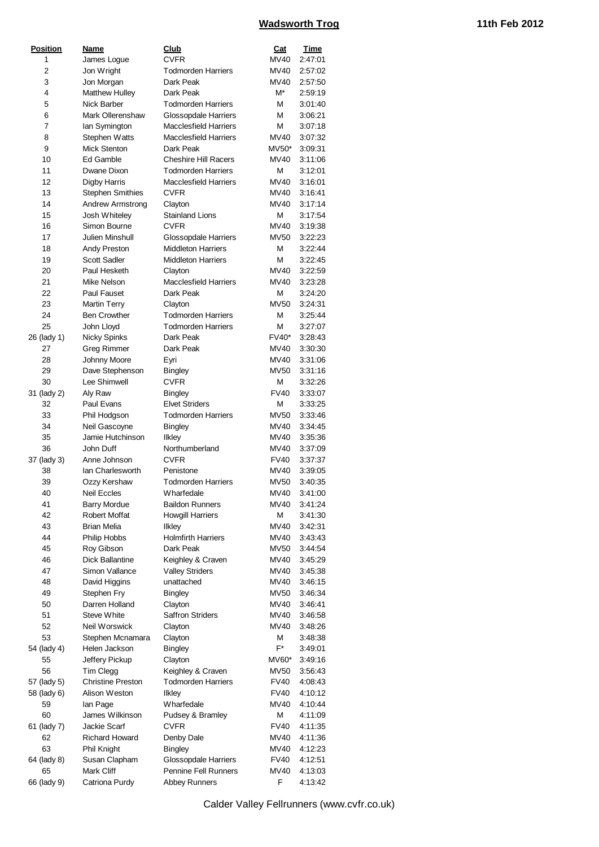| <b>CVFR</b><br>MV40<br>2:47:01<br>1<br>James Logue<br>2<br>Jon Wright<br><b>Todmorden Harriers</b><br>MV40<br>2:57:02<br>3<br>Dark Peak<br>MV40<br>Jon Morgan<br>2:57:50<br>M*<br>4<br>Matthew Hulley<br>Dark Peak<br>2:59:19<br>5<br><b>Nick Barber</b><br><b>Todmorden Harriers</b><br>М<br>3:01:40<br>6<br>Mark Ollerenshaw<br>Glossopdale Harriers<br>М<br>3:06:21<br>7<br><b>Macclesfield Harriers</b><br>М<br>3:07:18<br>lan Symington<br>8<br>Stephen Watts<br><b>Macclesfield Harriers</b><br>MV40<br>3:07:32<br>9<br><b>Mick Stenton</b><br>Dark Peak<br>$MV50*$<br>3:09:31<br>10<br>Ed Gamble<br><b>Cheshire Hill Racers</b><br>3:11:06<br>MV40<br>11<br>Dwane Dixon<br><b>Todmorden Harriers</b><br>М<br>3:12:01<br><b>Macclesfield Harriers</b><br>12<br>Digby Harris<br>MV40<br>3:16:01<br>13<br><b>Stephen Smithies</b><br><b>CVFR</b><br>MV40<br>3:16:41<br>14<br>Andrew Armstrong<br>MV40<br>3:17:14<br>Clayton<br><b>Stainland Lions</b><br>Josh Whiteley<br>М<br>3:17:54<br>15<br>16<br>Simon Bourne<br><b>CVFR</b><br>MV40<br>3:19:38<br>17<br>Julien Minshull<br><b>MV50</b><br>Glossopdale Harriers<br>3:22:23<br>18<br>Andy Preston<br><b>Middleton Harriers</b><br>М<br>3:22:44<br>М<br>19<br><b>Scott Sadler</b><br><b>Middleton Harriers</b><br>3:22:45<br>Paul Hesketh<br>MV40<br>20<br>Clayton<br>3:22:59<br>21<br>Mike Nelson<br><b>Macclesfield Harriers</b><br>MV40<br>3:23:28<br>22<br>Paul Fauset<br>Dark Peak<br>М<br>3:24:20<br><b>Martin Terry</b><br><b>MV50</b><br>23<br>Clayton<br>3:24:31<br>24<br><b>Ben Crowther</b><br><b>Todmorden Harriers</b><br>М<br>3:25:44<br><b>Todmorden Harriers</b><br>25<br>John Lloyd<br>М<br>3:27:07<br>26 (lady 1)<br>Dark Peak<br><b>FV40*</b><br><b>Nicky Spinks</b><br>3:28:43<br>27<br>Dark Peak<br>MV40<br>3:30:30<br>Greg Rimmer<br>MV40<br>28<br>Johnny Moore<br>3:31:06<br>Eyri<br>29<br>Dave Stephenson<br><b>MV50</b><br>3:31:16<br><b>Bingley</b><br>Lee Shimwell<br><b>CVFR</b><br>30<br>М<br>3:32:26<br><b>FV40</b><br>31 (lady 2)<br>Aly Raw<br><b>Bingley</b><br>3:33:07<br><b>Elvet Striders</b><br>32<br>Paul Evans<br>М<br>3:33:25<br>33<br><b>Todmorden Harriers</b><br><b>MV50</b><br>Phil Hodgson<br>3:33:46<br>34<br>Neil Gascoyne<br><b>Bingley</b><br>MV40<br>3:34:45<br>35<br>Jamie Hutchinson<br><b>Ilkley</b><br>MV40<br>3:35:36<br>36<br>John Duff<br>Northumberland<br>MV40<br>3:37:09<br>Anne Johnson<br><b>CVFR</b><br><b>FV40</b><br>37 (lady 3)<br>3:37:37<br>Ian Charlesworth<br>MV40<br>3:39:05<br>38<br>Penistone<br><b>Todmorden Harriers</b><br>39<br><b>MV50</b><br>Ozzy Kershaw<br>3:40:35<br>40<br>Neil Eccles<br>Wharfedale<br>MV40<br>3:41:00<br>41<br><b>Barry Mordue</b><br><b>Baildon Runners</b><br>MV40<br>3:41:24<br>42<br><b>Robert Moffat</b><br><b>Howgill Harriers</b><br>М<br>3:41:30<br>43<br><b>Brian Melia</b><br><b>MV40</b><br><b>Ilkley</b><br>3:42:31<br>44<br><b>Holmfirth Harriers</b><br>Philip Hobbs<br>MV40<br>3:43:43<br>45<br>Roy Gibson<br>Dark Peak<br>MV50<br>3:44:54<br><b>Dick Ballantine</b><br>46<br>Keighley & Craven<br>MV40<br>3:45:29<br>47<br>Simon Vallance<br><b>Valley Striders</b><br>MV40<br>3:45:38<br>48<br>David Higgins<br>unattached<br>MV40<br>3:46:15<br>49<br>Stephen Fry<br><b>Bingley</b><br>MV50<br>3:46:34<br>50<br>Darren Holland<br>Clayton<br>MV40<br>3:46:41<br>51<br><b>Steve White</b><br><b>Saffron Striders</b><br>MV40<br>3:46:58<br>52<br>Neil Worswick<br>MV40<br>Clayton<br>3:48:26<br>53<br>Stephen Mcnamara<br>Clayton<br>М<br>3:48:38<br>F*<br>54 (lady 4)<br>Helen Jackson<br><b>Bingley</b><br>3:49:01<br>Jeffery Pickup<br>55<br>Clayton<br>MV60*<br>3:49:16<br>56<br>Tim Clegg<br>Keighley & Craven<br>MV50<br>3:56:43<br><b>Christine Preston</b><br><b>Todmorden Harriers</b><br>57 (lady 5)<br><b>FV40</b><br>4:08:43<br>58 (lady 6)<br>Alison Weston<br><b>Ilkley</b><br><b>FV40</b><br>4:10:12<br>Wharfedale<br>59<br>lan Page<br>MV40<br>4:10:44<br>60<br>James Wilkinson<br>М<br>Pudsey & Bramley<br>4:11:09<br><b>CVFR</b><br><b>FV40</b><br>61 (lady 7)<br>Jackie Scarf<br>4:11:35<br><b>Richard Howard</b><br>62<br>Denby Dale<br>MV40<br>4:11:36<br>63<br>Phil Knight<br><b>Bingley</b><br>MV40<br>4:12:23<br>64 (lady 8)<br>Susan Clapham<br>Glossopdale Harriers<br><b>FV40</b><br>4:12:51<br>65<br>Mark Cliff<br><b>Pennine Fell Runners</b><br>MV40<br>4:13:03<br>F<br>66 (lady 9)<br>Catriona Purdy<br><b>Abbey Runners</b><br>4:13:42 | <b>Position</b> | Name | Club | Cat | Time |
|----------------------------------------------------------------------------------------------------------------------------------------------------------------------------------------------------------------------------------------------------------------------------------------------------------------------------------------------------------------------------------------------------------------------------------------------------------------------------------------------------------------------------------------------------------------------------------------------------------------------------------------------------------------------------------------------------------------------------------------------------------------------------------------------------------------------------------------------------------------------------------------------------------------------------------------------------------------------------------------------------------------------------------------------------------------------------------------------------------------------------------------------------------------------------------------------------------------------------------------------------------------------------------------------------------------------------------------------------------------------------------------------------------------------------------------------------------------------------------------------------------------------------------------------------------------------------------------------------------------------------------------------------------------------------------------------------------------------------------------------------------------------------------------------------------------------------------------------------------------------------------------------------------------------------------------------------------------------------------------------------------------------------------------------------------------------------------------------------------------------------------------------------------------------------------------------------------------------------------------------------------------------------------------------------------------------------------------------------------------------------------------------------------------------------------------------------------------------------------------------------------------------------------------------------------------------------------------------------------------------------------------------------------------------------------------------------------------------------------------------------------------------------------------------------------------------------------------------------------------------------------------------------------------------------------------------------------------------------------------------------------------------------------------------------------------------------------------------------------------------------------------------------------------------------------------------------------------------------------------------------------------------------------------------------------------------------------------------------------------------------------------------------------------------------------------------------------------------------------------------------------------------------------------------------------------------------------------------------------------------------------------------------------------------------------------------------------------------------------------------------------------------------------------------------------------------------------------------------------------------------------------------------------------------------------------------------------------------------------------------------------------------------------------------------------------------------------------------------------------------------------------------------------------------------------------------------------------------------------------------------------------------------------------------------------------------------------------------------------------------------------------------------------------------------------------------------|-----------------|------|------|-----|------|
|                                                                                                                                                                                                                                                                                                                                                                                                                                                                                                                                                                                                                                                                                                                                                                                                                                                                                                                                                                                                                                                                                                                                                                                                                                                                                                                                                                                                                                                                                                                                                                                                                                                                                                                                                                                                                                                                                                                                                                                                                                                                                                                                                                                                                                                                                                                                                                                                                                                                                                                                                                                                                                                                                                                                                                                                                                                                                                                                                                                                                                                                                                                                                                                                                                                                                                                                                                                                                                                                                                                                                                                                                                                                                                                                                                                                                                                                                                                                                                                                                                                                                                                                                                                                                                                                                                                                                                                                                                                    |                 |      |      |     |      |
|                                                                                                                                                                                                                                                                                                                                                                                                                                                                                                                                                                                                                                                                                                                                                                                                                                                                                                                                                                                                                                                                                                                                                                                                                                                                                                                                                                                                                                                                                                                                                                                                                                                                                                                                                                                                                                                                                                                                                                                                                                                                                                                                                                                                                                                                                                                                                                                                                                                                                                                                                                                                                                                                                                                                                                                                                                                                                                                                                                                                                                                                                                                                                                                                                                                                                                                                                                                                                                                                                                                                                                                                                                                                                                                                                                                                                                                                                                                                                                                                                                                                                                                                                                                                                                                                                                                                                                                                                                                    |                 |      |      |     |      |
|                                                                                                                                                                                                                                                                                                                                                                                                                                                                                                                                                                                                                                                                                                                                                                                                                                                                                                                                                                                                                                                                                                                                                                                                                                                                                                                                                                                                                                                                                                                                                                                                                                                                                                                                                                                                                                                                                                                                                                                                                                                                                                                                                                                                                                                                                                                                                                                                                                                                                                                                                                                                                                                                                                                                                                                                                                                                                                                                                                                                                                                                                                                                                                                                                                                                                                                                                                                                                                                                                                                                                                                                                                                                                                                                                                                                                                                                                                                                                                                                                                                                                                                                                                                                                                                                                                                                                                                                                                                    |                 |      |      |     |      |
|                                                                                                                                                                                                                                                                                                                                                                                                                                                                                                                                                                                                                                                                                                                                                                                                                                                                                                                                                                                                                                                                                                                                                                                                                                                                                                                                                                                                                                                                                                                                                                                                                                                                                                                                                                                                                                                                                                                                                                                                                                                                                                                                                                                                                                                                                                                                                                                                                                                                                                                                                                                                                                                                                                                                                                                                                                                                                                                                                                                                                                                                                                                                                                                                                                                                                                                                                                                                                                                                                                                                                                                                                                                                                                                                                                                                                                                                                                                                                                                                                                                                                                                                                                                                                                                                                                                                                                                                                                                    |                 |      |      |     |      |
|                                                                                                                                                                                                                                                                                                                                                                                                                                                                                                                                                                                                                                                                                                                                                                                                                                                                                                                                                                                                                                                                                                                                                                                                                                                                                                                                                                                                                                                                                                                                                                                                                                                                                                                                                                                                                                                                                                                                                                                                                                                                                                                                                                                                                                                                                                                                                                                                                                                                                                                                                                                                                                                                                                                                                                                                                                                                                                                                                                                                                                                                                                                                                                                                                                                                                                                                                                                                                                                                                                                                                                                                                                                                                                                                                                                                                                                                                                                                                                                                                                                                                                                                                                                                                                                                                                                                                                                                                                                    |                 |      |      |     |      |
|                                                                                                                                                                                                                                                                                                                                                                                                                                                                                                                                                                                                                                                                                                                                                                                                                                                                                                                                                                                                                                                                                                                                                                                                                                                                                                                                                                                                                                                                                                                                                                                                                                                                                                                                                                                                                                                                                                                                                                                                                                                                                                                                                                                                                                                                                                                                                                                                                                                                                                                                                                                                                                                                                                                                                                                                                                                                                                                                                                                                                                                                                                                                                                                                                                                                                                                                                                                                                                                                                                                                                                                                                                                                                                                                                                                                                                                                                                                                                                                                                                                                                                                                                                                                                                                                                                                                                                                                                                                    |                 |      |      |     |      |
|                                                                                                                                                                                                                                                                                                                                                                                                                                                                                                                                                                                                                                                                                                                                                                                                                                                                                                                                                                                                                                                                                                                                                                                                                                                                                                                                                                                                                                                                                                                                                                                                                                                                                                                                                                                                                                                                                                                                                                                                                                                                                                                                                                                                                                                                                                                                                                                                                                                                                                                                                                                                                                                                                                                                                                                                                                                                                                                                                                                                                                                                                                                                                                                                                                                                                                                                                                                                                                                                                                                                                                                                                                                                                                                                                                                                                                                                                                                                                                                                                                                                                                                                                                                                                                                                                                                                                                                                                                                    |                 |      |      |     |      |
|                                                                                                                                                                                                                                                                                                                                                                                                                                                                                                                                                                                                                                                                                                                                                                                                                                                                                                                                                                                                                                                                                                                                                                                                                                                                                                                                                                                                                                                                                                                                                                                                                                                                                                                                                                                                                                                                                                                                                                                                                                                                                                                                                                                                                                                                                                                                                                                                                                                                                                                                                                                                                                                                                                                                                                                                                                                                                                                                                                                                                                                                                                                                                                                                                                                                                                                                                                                                                                                                                                                                                                                                                                                                                                                                                                                                                                                                                                                                                                                                                                                                                                                                                                                                                                                                                                                                                                                                                                                    |                 |      |      |     |      |
|                                                                                                                                                                                                                                                                                                                                                                                                                                                                                                                                                                                                                                                                                                                                                                                                                                                                                                                                                                                                                                                                                                                                                                                                                                                                                                                                                                                                                                                                                                                                                                                                                                                                                                                                                                                                                                                                                                                                                                                                                                                                                                                                                                                                                                                                                                                                                                                                                                                                                                                                                                                                                                                                                                                                                                                                                                                                                                                                                                                                                                                                                                                                                                                                                                                                                                                                                                                                                                                                                                                                                                                                                                                                                                                                                                                                                                                                                                                                                                                                                                                                                                                                                                                                                                                                                                                                                                                                                                                    |                 |      |      |     |      |
|                                                                                                                                                                                                                                                                                                                                                                                                                                                                                                                                                                                                                                                                                                                                                                                                                                                                                                                                                                                                                                                                                                                                                                                                                                                                                                                                                                                                                                                                                                                                                                                                                                                                                                                                                                                                                                                                                                                                                                                                                                                                                                                                                                                                                                                                                                                                                                                                                                                                                                                                                                                                                                                                                                                                                                                                                                                                                                                                                                                                                                                                                                                                                                                                                                                                                                                                                                                                                                                                                                                                                                                                                                                                                                                                                                                                                                                                                                                                                                                                                                                                                                                                                                                                                                                                                                                                                                                                                                                    |                 |      |      |     |      |
|                                                                                                                                                                                                                                                                                                                                                                                                                                                                                                                                                                                                                                                                                                                                                                                                                                                                                                                                                                                                                                                                                                                                                                                                                                                                                                                                                                                                                                                                                                                                                                                                                                                                                                                                                                                                                                                                                                                                                                                                                                                                                                                                                                                                                                                                                                                                                                                                                                                                                                                                                                                                                                                                                                                                                                                                                                                                                                                                                                                                                                                                                                                                                                                                                                                                                                                                                                                                                                                                                                                                                                                                                                                                                                                                                                                                                                                                                                                                                                                                                                                                                                                                                                                                                                                                                                                                                                                                                                                    |                 |      |      |     |      |
|                                                                                                                                                                                                                                                                                                                                                                                                                                                                                                                                                                                                                                                                                                                                                                                                                                                                                                                                                                                                                                                                                                                                                                                                                                                                                                                                                                                                                                                                                                                                                                                                                                                                                                                                                                                                                                                                                                                                                                                                                                                                                                                                                                                                                                                                                                                                                                                                                                                                                                                                                                                                                                                                                                                                                                                                                                                                                                                                                                                                                                                                                                                                                                                                                                                                                                                                                                                                                                                                                                                                                                                                                                                                                                                                                                                                                                                                                                                                                                                                                                                                                                                                                                                                                                                                                                                                                                                                                                                    |                 |      |      |     |      |
|                                                                                                                                                                                                                                                                                                                                                                                                                                                                                                                                                                                                                                                                                                                                                                                                                                                                                                                                                                                                                                                                                                                                                                                                                                                                                                                                                                                                                                                                                                                                                                                                                                                                                                                                                                                                                                                                                                                                                                                                                                                                                                                                                                                                                                                                                                                                                                                                                                                                                                                                                                                                                                                                                                                                                                                                                                                                                                                                                                                                                                                                                                                                                                                                                                                                                                                                                                                                                                                                                                                                                                                                                                                                                                                                                                                                                                                                                                                                                                                                                                                                                                                                                                                                                                                                                                                                                                                                                                                    |                 |      |      |     |      |
|                                                                                                                                                                                                                                                                                                                                                                                                                                                                                                                                                                                                                                                                                                                                                                                                                                                                                                                                                                                                                                                                                                                                                                                                                                                                                                                                                                                                                                                                                                                                                                                                                                                                                                                                                                                                                                                                                                                                                                                                                                                                                                                                                                                                                                                                                                                                                                                                                                                                                                                                                                                                                                                                                                                                                                                                                                                                                                                                                                                                                                                                                                                                                                                                                                                                                                                                                                                                                                                                                                                                                                                                                                                                                                                                                                                                                                                                                                                                                                                                                                                                                                                                                                                                                                                                                                                                                                                                                                                    |                 |      |      |     |      |
|                                                                                                                                                                                                                                                                                                                                                                                                                                                                                                                                                                                                                                                                                                                                                                                                                                                                                                                                                                                                                                                                                                                                                                                                                                                                                                                                                                                                                                                                                                                                                                                                                                                                                                                                                                                                                                                                                                                                                                                                                                                                                                                                                                                                                                                                                                                                                                                                                                                                                                                                                                                                                                                                                                                                                                                                                                                                                                                                                                                                                                                                                                                                                                                                                                                                                                                                                                                                                                                                                                                                                                                                                                                                                                                                                                                                                                                                                                                                                                                                                                                                                                                                                                                                                                                                                                                                                                                                                                                    |                 |      |      |     |      |
|                                                                                                                                                                                                                                                                                                                                                                                                                                                                                                                                                                                                                                                                                                                                                                                                                                                                                                                                                                                                                                                                                                                                                                                                                                                                                                                                                                                                                                                                                                                                                                                                                                                                                                                                                                                                                                                                                                                                                                                                                                                                                                                                                                                                                                                                                                                                                                                                                                                                                                                                                                                                                                                                                                                                                                                                                                                                                                                                                                                                                                                                                                                                                                                                                                                                                                                                                                                                                                                                                                                                                                                                                                                                                                                                                                                                                                                                                                                                                                                                                                                                                                                                                                                                                                                                                                                                                                                                                                                    |                 |      |      |     |      |
|                                                                                                                                                                                                                                                                                                                                                                                                                                                                                                                                                                                                                                                                                                                                                                                                                                                                                                                                                                                                                                                                                                                                                                                                                                                                                                                                                                                                                                                                                                                                                                                                                                                                                                                                                                                                                                                                                                                                                                                                                                                                                                                                                                                                                                                                                                                                                                                                                                                                                                                                                                                                                                                                                                                                                                                                                                                                                                                                                                                                                                                                                                                                                                                                                                                                                                                                                                                                                                                                                                                                                                                                                                                                                                                                                                                                                                                                                                                                                                                                                                                                                                                                                                                                                                                                                                                                                                                                                                                    |                 |      |      |     |      |
|                                                                                                                                                                                                                                                                                                                                                                                                                                                                                                                                                                                                                                                                                                                                                                                                                                                                                                                                                                                                                                                                                                                                                                                                                                                                                                                                                                                                                                                                                                                                                                                                                                                                                                                                                                                                                                                                                                                                                                                                                                                                                                                                                                                                                                                                                                                                                                                                                                                                                                                                                                                                                                                                                                                                                                                                                                                                                                                                                                                                                                                                                                                                                                                                                                                                                                                                                                                                                                                                                                                                                                                                                                                                                                                                                                                                                                                                                                                                                                                                                                                                                                                                                                                                                                                                                                                                                                                                                                                    |                 |      |      |     |      |
|                                                                                                                                                                                                                                                                                                                                                                                                                                                                                                                                                                                                                                                                                                                                                                                                                                                                                                                                                                                                                                                                                                                                                                                                                                                                                                                                                                                                                                                                                                                                                                                                                                                                                                                                                                                                                                                                                                                                                                                                                                                                                                                                                                                                                                                                                                                                                                                                                                                                                                                                                                                                                                                                                                                                                                                                                                                                                                                                                                                                                                                                                                                                                                                                                                                                                                                                                                                                                                                                                                                                                                                                                                                                                                                                                                                                                                                                                                                                                                                                                                                                                                                                                                                                                                                                                                                                                                                                                                                    |                 |      |      |     |      |
|                                                                                                                                                                                                                                                                                                                                                                                                                                                                                                                                                                                                                                                                                                                                                                                                                                                                                                                                                                                                                                                                                                                                                                                                                                                                                                                                                                                                                                                                                                                                                                                                                                                                                                                                                                                                                                                                                                                                                                                                                                                                                                                                                                                                                                                                                                                                                                                                                                                                                                                                                                                                                                                                                                                                                                                                                                                                                                                                                                                                                                                                                                                                                                                                                                                                                                                                                                                                                                                                                                                                                                                                                                                                                                                                                                                                                                                                                                                                                                                                                                                                                                                                                                                                                                                                                                                                                                                                                                                    |                 |      |      |     |      |
|                                                                                                                                                                                                                                                                                                                                                                                                                                                                                                                                                                                                                                                                                                                                                                                                                                                                                                                                                                                                                                                                                                                                                                                                                                                                                                                                                                                                                                                                                                                                                                                                                                                                                                                                                                                                                                                                                                                                                                                                                                                                                                                                                                                                                                                                                                                                                                                                                                                                                                                                                                                                                                                                                                                                                                                                                                                                                                                                                                                                                                                                                                                                                                                                                                                                                                                                                                                                                                                                                                                                                                                                                                                                                                                                                                                                                                                                                                                                                                                                                                                                                                                                                                                                                                                                                                                                                                                                                                                    |                 |      |      |     |      |
|                                                                                                                                                                                                                                                                                                                                                                                                                                                                                                                                                                                                                                                                                                                                                                                                                                                                                                                                                                                                                                                                                                                                                                                                                                                                                                                                                                                                                                                                                                                                                                                                                                                                                                                                                                                                                                                                                                                                                                                                                                                                                                                                                                                                                                                                                                                                                                                                                                                                                                                                                                                                                                                                                                                                                                                                                                                                                                                                                                                                                                                                                                                                                                                                                                                                                                                                                                                                                                                                                                                                                                                                                                                                                                                                                                                                                                                                                                                                                                                                                                                                                                                                                                                                                                                                                                                                                                                                                                                    |                 |      |      |     |      |
|                                                                                                                                                                                                                                                                                                                                                                                                                                                                                                                                                                                                                                                                                                                                                                                                                                                                                                                                                                                                                                                                                                                                                                                                                                                                                                                                                                                                                                                                                                                                                                                                                                                                                                                                                                                                                                                                                                                                                                                                                                                                                                                                                                                                                                                                                                                                                                                                                                                                                                                                                                                                                                                                                                                                                                                                                                                                                                                                                                                                                                                                                                                                                                                                                                                                                                                                                                                                                                                                                                                                                                                                                                                                                                                                                                                                                                                                                                                                                                                                                                                                                                                                                                                                                                                                                                                                                                                                                                                    |                 |      |      |     |      |
|                                                                                                                                                                                                                                                                                                                                                                                                                                                                                                                                                                                                                                                                                                                                                                                                                                                                                                                                                                                                                                                                                                                                                                                                                                                                                                                                                                                                                                                                                                                                                                                                                                                                                                                                                                                                                                                                                                                                                                                                                                                                                                                                                                                                                                                                                                                                                                                                                                                                                                                                                                                                                                                                                                                                                                                                                                                                                                                                                                                                                                                                                                                                                                                                                                                                                                                                                                                                                                                                                                                                                                                                                                                                                                                                                                                                                                                                                                                                                                                                                                                                                                                                                                                                                                                                                                                                                                                                                                                    |                 |      |      |     |      |
|                                                                                                                                                                                                                                                                                                                                                                                                                                                                                                                                                                                                                                                                                                                                                                                                                                                                                                                                                                                                                                                                                                                                                                                                                                                                                                                                                                                                                                                                                                                                                                                                                                                                                                                                                                                                                                                                                                                                                                                                                                                                                                                                                                                                                                                                                                                                                                                                                                                                                                                                                                                                                                                                                                                                                                                                                                                                                                                                                                                                                                                                                                                                                                                                                                                                                                                                                                                                                                                                                                                                                                                                                                                                                                                                                                                                                                                                                                                                                                                                                                                                                                                                                                                                                                                                                                                                                                                                                                                    |                 |      |      |     |      |
|                                                                                                                                                                                                                                                                                                                                                                                                                                                                                                                                                                                                                                                                                                                                                                                                                                                                                                                                                                                                                                                                                                                                                                                                                                                                                                                                                                                                                                                                                                                                                                                                                                                                                                                                                                                                                                                                                                                                                                                                                                                                                                                                                                                                                                                                                                                                                                                                                                                                                                                                                                                                                                                                                                                                                                                                                                                                                                                                                                                                                                                                                                                                                                                                                                                                                                                                                                                                                                                                                                                                                                                                                                                                                                                                                                                                                                                                                                                                                                                                                                                                                                                                                                                                                                                                                                                                                                                                                                                    |                 |      |      |     |      |
|                                                                                                                                                                                                                                                                                                                                                                                                                                                                                                                                                                                                                                                                                                                                                                                                                                                                                                                                                                                                                                                                                                                                                                                                                                                                                                                                                                                                                                                                                                                                                                                                                                                                                                                                                                                                                                                                                                                                                                                                                                                                                                                                                                                                                                                                                                                                                                                                                                                                                                                                                                                                                                                                                                                                                                                                                                                                                                                                                                                                                                                                                                                                                                                                                                                                                                                                                                                                                                                                                                                                                                                                                                                                                                                                                                                                                                                                                                                                                                                                                                                                                                                                                                                                                                                                                                                                                                                                                                                    |                 |      |      |     |      |
|                                                                                                                                                                                                                                                                                                                                                                                                                                                                                                                                                                                                                                                                                                                                                                                                                                                                                                                                                                                                                                                                                                                                                                                                                                                                                                                                                                                                                                                                                                                                                                                                                                                                                                                                                                                                                                                                                                                                                                                                                                                                                                                                                                                                                                                                                                                                                                                                                                                                                                                                                                                                                                                                                                                                                                                                                                                                                                                                                                                                                                                                                                                                                                                                                                                                                                                                                                                                                                                                                                                                                                                                                                                                                                                                                                                                                                                                                                                                                                                                                                                                                                                                                                                                                                                                                                                                                                                                                                                    |                 |      |      |     |      |
|                                                                                                                                                                                                                                                                                                                                                                                                                                                                                                                                                                                                                                                                                                                                                                                                                                                                                                                                                                                                                                                                                                                                                                                                                                                                                                                                                                                                                                                                                                                                                                                                                                                                                                                                                                                                                                                                                                                                                                                                                                                                                                                                                                                                                                                                                                                                                                                                                                                                                                                                                                                                                                                                                                                                                                                                                                                                                                                                                                                                                                                                                                                                                                                                                                                                                                                                                                                                                                                                                                                                                                                                                                                                                                                                                                                                                                                                                                                                                                                                                                                                                                                                                                                                                                                                                                                                                                                                                                                    |                 |      |      |     |      |
|                                                                                                                                                                                                                                                                                                                                                                                                                                                                                                                                                                                                                                                                                                                                                                                                                                                                                                                                                                                                                                                                                                                                                                                                                                                                                                                                                                                                                                                                                                                                                                                                                                                                                                                                                                                                                                                                                                                                                                                                                                                                                                                                                                                                                                                                                                                                                                                                                                                                                                                                                                                                                                                                                                                                                                                                                                                                                                                                                                                                                                                                                                                                                                                                                                                                                                                                                                                                                                                                                                                                                                                                                                                                                                                                                                                                                                                                                                                                                                                                                                                                                                                                                                                                                                                                                                                                                                                                                                                    |                 |      |      |     |      |
|                                                                                                                                                                                                                                                                                                                                                                                                                                                                                                                                                                                                                                                                                                                                                                                                                                                                                                                                                                                                                                                                                                                                                                                                                                                                                                                                                                                                                                                                                                                                                                                                                                                                                                                                                                                                                                                                                                                                                                                                                                                                                                                                                                                                                                                                                                                                                                                                                                                                                                                                                                                                                                                                                                                                                                                                                                                                                                                                                                                                                                                                                                                                                                                                                                                                                                                                                                                                                                                                                                                                                                                                                                                                                                                                                                                                                                                                                                                                                                                                                                                                                                                                                                                                                                                                                                                                                                                                                                                    |                 |      |      |     |      |
|                                                                                                                                                                                                                                                                                                                                                                                                                                                                                                                                                                                                                                                                                                                                                                                                                                                                                                                                                                                                                                                                                                                                                                                                                                                                                                                                                                                                                                                                                                                                                                                                                                                                                                                                                                                                                                                                                                                                                                                                                                                                                                                                                                                                                                                                                                                                                                                                                                                                                                                                                                                                                                                                                                                                                                                                                                                                                                                                                                                                                                                                                                                                                                                                                                                                                                                                                                                                                                                                                                                                                                                                                                                                                                                                                                                                                                                                                                                                                                                                                                                                                                                                                                                                                                                                                                                                                                                                                                                    |                 |      |      |     |      |
|                                                                                                                                                                                                                                                                                                                                                                                                                                                                                                                                                                                                                                                                                                                                                                                                                                                                                                                                                                                                                                                                                                                                                                                                                                                                                                                                                                                                                                                                                                                                                                                                                                                                                                                                                                                                                                                                                                                                                                                                                                                                                                                                                                                                                                                                                                                                                                                                                                                                                                                                                                                                                                                                                                                                                                                                                                                                                                                                                                                                                                                                                                                                                                                                                                                                                                                                                                                                                                                                                                                                                                                                                                                                                                                                                                                                                                                                                                                                                                                                                                                                                                                                                                                                                                                                                                                                                                                                                                                    |                 |      |      |     |      |
|                                                                                                                                                                                                                                                                                                                                                                                                                                                                                                                                                                                                                                                                                                                                                                                                                                                                                                                                                                                                                                                                                                                                                                                                                                                                                                                                                                                                                                                                                                                                                                                                                                                                                                                                                                                                                                                                                                                                                                                                                                                                                                                                                                                                                                                                                                                                                                                                                                                                                                                                                                                                                                                                                                                                                                                                                                                                                                                                                                                                                                                                                                                                                                                                                                                                                                                                                                                                                                                                                                                                                                                                                                                                                                                                                                                                                                                                                                                                                                                                                                                                                                                                                                                                                                                                                                                                                                                                                                                    |                 |      |      |     |      |
|                                                                                                                                                                                                                                                                                                                                                                                                                                                                                                                                                                                                                                                                                                                                                                                                                                                                                                                                                                                                                                                                                                                                                                                                                                                                                                                                                                                                                                                                                                                                                                                                                                                                                                                                                                                                                                                                                                                                                                                                                                                                                                                                                                                                                                                                                                                                                                                                                                                                                                                                                                                                                                                                                                                                                                                                                                                                                                                                                                                                                                                                                                                                                                                                                                                                                                                                                                                                                                                                                                                                                                                                                                                                                                                                                                                                                                                                                                                                                                                                                                                                                                                                                                                                                                                                                                                                                                                                                                                    |                 |      |      |     |      |
|                                                                                                                                                                                                                                                                                                                                                                                                                                                                                                                                                                                                                                                                                                                                                                                                                                                                                                                                                                                                                                                                                                                                                                                                                                                                                                                                                                                                                                                                                                                                                                                                                                                                                                                                                                                                                                                                                                                                                                                                                                                                                                                                                                                                                                                                                                                                                                                                                                                                                                                                                                                                                                                                                                                                                                                                                                                                                                                                                                                                                                                                                                                                                                                                                                                                                                                                                                                                                                                                                                                                                                                                                                                                                                                                                                                                                                                                                                                                                                                                                                                                                                                                                                                                                                                                                                                                                                                                                                                    |                 |      |      |     |      |
|                                                                                                                                                                                                                                                                                                                                                                                                                                                                                                                                                                                                                                                                                                                                                                                                                                                                                                                                                                                                                                                                                                                                                                                                                                                                                                                                                                                                                                                                                                                                                                                                                                                                                                                                                                                                                                                                                                                                                                                                                                                                                                                                                                                                                                                                                                                                                                                                                                                                                                                                                                                                                                                                                                                                                                                                                                                                                                                                                                                                                                                                                                                                                                                                                                                                                                                                                                                                                                                                                                                                                                                                                                                                                                                                                                                                                                                                                                                                                                                                                                                                                                                                                                                                                                                                                                                                                                                                                                                    |                 |      |      |     |      |
|                                                                                                                                                                                                                                                                                                                                                                                                                                                                                                                                                                                                                                                                                                                                                                                                                                                                                                                                                                                                                                                                                                                                                                                                                                                                                                                                                                                                                                                                                                                                                                                                                                                                                                                                                                                                                                                                                                                                                                                                                                                                                                                                                                                                                                                                                                                                                                                                                                                                                                                                                                                                                                                                                                                                                                                                                                                                                                                                                                                                                                                                                                                                                                                                                                                                                                                                                                                                                                                                                                                                                                                                                                                                                                                                                                                                                                                                                                                                                                                                                                                                                                                                                                                                                                                                                                                                                                                                                                                    |                 |      |      |     |      |
|                                                                                                                                                                                                                                                                                                                                                                                                                                                                                                                                                                                                                                                                                                                                                                                                                                                                                                                                                                                                                                                                                                                                                                                                                                                                                                                                                                                                                                                                                                                                                                                                                                                                                                                                                                                                                                                                                                                                                                                                                                                                                                                                                                                                                                                                                                                                                                                                                                                                                                                                                                                                                                                                                                                                                                                                                                                                                                                                                                                                                                                                                                                                                                                                                                                                                                                                                                                                                                                                                                                                                                                                                                                                                                                                                                                                                                                                                                                                                                                                                                                                                                                                                                                                                                                                                                                                                                                                                                                    |                 |      |      |     |      |
|                                                                                                                                                                                                                                                                                                                                                                                                                                                                                                                                                                                                                                                                                                                                                                                                                                                                                                                                                                                                                                                                                                                                                                                                                                                                                                                                                                                                                                                                                                                                                                                                                                                                                                                                                                                                                                                                                                                                                                                                                                                                                                                                                                                                                                                                                                                                                                                                                                                                                                                                                                                                                                                                                                                                                                                                                                                                                                                                                                                                                                                                                                                                                                                                                                                                                                                                                                                                                                                                                                                                                                                                                                                                                                                                                                                                                                                                                                                                                                                                                                                                                                                                                                                                                                                                                                                                                                                                                                                    |                 |      |      |     |      |
|                                                                                                                                                                                                                                                                                                                                                                                                                                                                                                                                                                                                                                                                                                                                                                                                                                                                                                                                                                                                                                                                                                                                                                                                                                                                                                                                                                                                                                                                                                                                                                                                                                                                                                                                                                                                                                                                                                                                                                                                                                                                                                                                                                                                                                                                                                                                                                                                                                                                                                                                                                                                                                                                                                                                                                                                                                                                                                                                                                                                                                                                                                                                                                                                                                                                                                                                                                                                                                                                                                                                                                                                                                                                                                                                                                                                                                                                                                                                                                                                                                                                                                                                                                                                                                                                                                                                                                                                                                                    |                 |      |      |     |      |
|                                                                                                                                                                                                                                                                                                                                                                                                                                                                                                                                                                                                                                                                                                                                                                                                                                                                                                                                                                                                                                                                                                                                                                                                                                                                                                                                                                                                                                                                                                                                                                                                                                                                                                                                                                                                                                                                                                                                                                                                                                                                                                                                                                                                                                                                                                                                                                                                                                                                                                                                                                                                                                                                                                                                                                                                                                                                                                                                                                                                                                                                                                                                                                                                                                                                                                                                                                                                                                                                                                                                                                                                                                                                                                                                                                                                                                                                                                                                                                                                                                                                                                                                                                                                                                                                                                                                                                                                                                                    |                 |      |      |     |      |
|                                                                                                                                                                                                                                                                                                                                                                                                                                                                                                                                                                                                                                                                                                                                                                                                                                                                                                                                                                                                                                                                                                                                                                                                                                                                                                                                                                                                                                                                                                                                                                                                                                                                                                                                                                                                                                                                                                                                                                                                                                                                                                                                                                                                                                                                                                                                                                                                                                                                                                                                                                                                                                                                                                                                                                                                                                                                                                                                                                                                                                                                                                                                                                                                                                                                                                                                                                                                                                                                                                                                                                                                                                                                                                                                                                                                                                                                                                                                                                                                                                                                                                                                                                                                                                                                                                                                                                                                                                                    |                 |      |      |     |      |
|                                                                                                                                                                                                                                                                                                                                                                                                                                                                                                                                                                                                                                                                                                                                                                                                                                                                                                                                                                                                                                                                                                                                                                                                                                                                                                                                                                                                                                                                                                                                                                                                                                                                                                                                                                                                                                                                                                                                                                                                                                                                                                                                                                                                                                                                                                                                                                                                                                                                                                                                                                                                                                                                                                                                                                                                                                                                                                                                                                                                                                                                                                                                                                                                                                                                                                                                                                                                                                                                                                                                                                                                                                                                                                                                                                                                                                                                                                                                                                                                                                                                                                                                                                                                                                                                                                                                                                                                                                                    |                 |      |      |     |      |
|                                                                                                                                                                                                                                                                                                                                                                                                                                                                                                                                                                                                                                                                                                                                                                                                                                                                                                                                                                                                                                                                                                                                                                                                                                                                                                                                                                                                                                                                                                                                                                                                                                                                                                                                                                                                                                                                                                                                                                                                                                                                                                                                                                                                                                                                                                                                                                                                                                                                                                                                                                                                                                                                                                                                                                                                                                                                                                                                                                                                                                                                                                                                                                                                                                                                                                                                                                                                                                                                                                                                                                                                                                                                                                                                                                                                                                                                                                                                                                                                                                                                                                                                                                                                                                                                                                                                                                                                                                                    |                 |      |      |     |      |
|                                                                                                                                                                                                                                                                                                                                                                                                                                                                                                                                                                                                                                                                                                                                                                                                                                                                                                                                                                                                                                                                                                                                                                                                                                                                                                                                                                                                                                                                                                                                                                                                                                                                                                                                                                                                                                                                                                                                                                                                                                                                                                                                                                                                                                                                                                                                                                                                                                                                                                                                                                                                                                                                                                                                                                                                                                                                                                                                                                                                                                                                                                                                                                                                                                                                                                                                                                                                                                                                                                                                                                                                                                                                                                                                                                                                                                                                                                                                                                                                                                                                                                                                                                                                                                                                                                                                                                                                                                                    |                 |      |      |     |      |
|                                                                                                                                                                                                                                                                                                                                                                                                                                                                                                                                                                                                                                                                                                                                                                                                                                                                                                                                                                                                                                                                                                                                                                                                                                                                                                                                                                                                                                                                                                                                                                                                                                                                                                                                                                                                                                                                                                                                                                                                                                                                                                                                                                                                                                                                                                                                                                                                                                                                                                                                                                                                                                                                                                                                                                                                                                                                                                                                                                                                                                                                                                                                                                                                                                                                                                                                                                                                                                                                                                                                                                                                                                                                                                                                                                                                                                                                                                                                                                                                                                                                                                                                                                                                                                                                                                                                                                                                                                                    |                 |      |      |     |      |
|                                                                                                                                                                                                                                                                                                                                                                                                                                                                                                                                                                                                                                                                                                                                                                                                                                                                                                                                                                                                                                                                                                                                                                                                                                                                                                                                                                                                                                                                                                                                                                                                                                                                                                                                                                                                                                                                                                                                                                                                                                                                                                                                                                                                                                                                                                                                                                                                                                                                                                                                                                                                                                                                                                                                                                                                                                                                                                                                                                                                                                                                                                                                                                                                                                                                                                                                                                                                                                                                                                                                                                                                                                                                                                                                                                                                                                                                                                                                                                                                                                                                                                                                                                                                                                                                                                                                                                                                                                                    |                 |      |      |     |      |
|                                                                                                                                                                                                                                                                                                                                                                                                                                                                                                                                                                                                                                                                                                                                                                                                                                                                                                                                                                                                                                                                                                                                                                                                                                                                                                                                                                                                                                                                                                                                                                                                                                                                                                                                                                                                                                                                                                                                                                                                                                                                                                                                                                                                                                                                                                                                                                                                                                                                                                                                                                                                                                                                                                                                                                                                                                                                                                                                                                                                                                                                                                                                                                                                                                                                                                                                                                                                                                                                                                                                                                                                                                                                                                                                                                                                                                                                                                                                                                                                                                                                                                                                                                                                                                                                                                                                                                                                                                                    |                 |      |      |     |      |
|                                                                                                                                                                                                                                                                                                                                                                                                                                                                                                                                                                                                                                                                                                                                                                                                                                                                                                                                                                                                                                                                                                                                                                                                                                                                                                                                                                                                                                                                                                                                                                                                                                                                                                                                                                                                                                                                                                                                                                                                                                                                                                                                                                                                                                                                                                                                                                                                                                                                                                                                                                                                                                                                                                                                                                                                                                                                                                                                                                                                                                                                                                                                                                                                                                                                                                                                                                                                                                                                                                                                                                                                                                                                                                                                                                                                                                                                                                                                                                                                                                                                                                                                                                                                                                                                                                                                                                                                                                                    |                 |      |      |     |      |
|                                                                                                                                                                                                                                                                                                                                                                                                                                                                                                                                                                                                                                                                                                                                                                                                                                                                                                                                                                                                                                                                                                                                                                                                                                                                                                                                                                                                                                                                                                                                                                                                                                                                                                                                                                                                                                                                                                                                                                                                                                                                                                                                                                                                                                                                                                                                                                                                                                                                                                                                                                                                                                                                                                                                                                                                                                                                                                                                                                                                                                                                                                                                                                                                                                                                                                                                                                                                                                                                                                                                                                                                                                                                                                                                                                                                                                                                                                                                                                                                                                                                                                                                                                                                                                                                                                                                                                                                                                                    |                 |      |      |     |      |
|                                                                                                                                                                                                                                                                                                                                                                                                                                                                                                                                                                                                                                                                                                                                                                                                                                                                                                                                                                                                                                                                                                                                                                                                                                                                                                                                                                                                                                                                                                                                                                                                                                                                                                                                                                                                                                                                                                                                                                                                                                                                                                                                                                                                                                                                                                                                                                                                                                                                                                                                                                                                                                                                                                                                                                                                                                                                                                                                                                                                                                                                                                                                                                                                                                                                                                                                                                                                                                                                                                                                                                                                                                                                                                                                                                                                                                                                                                                                                                                                                                                                                                                                                                                                                                                                                                                                                                                                                                                    |                 |      |      |     |      |
|                                                                                                                                                                                                                                                                                                                                                                                                                                                                                                                                                                                                                                                                                                                                                                                                                                                                                                                                                                                                                                                                                                                                                                                                                                                                                                                                                                                                                                                                                                                                                                                                                                                                                                                                                                                                                                                                                                                                                                                                                                                                                                                                                                                                                                                                                                                                                                                                                                                                                                                                                                                                                                                                                                                                                                                                                                                                                                                                                                                                                                                                                                                                                                                                                                                                                                                                                                                                                                                                                                                                                                                                                                                                                                                                                                                                                                                                                                                                                                                                                                                                                                                                                                                                                                                                                                                                                                                                                                                    |                 |      |      |     |      |
|                                                                                                                                                                                                                                                                                                                                                                                                                                                                                                                                                                                                                                                                                                                                                                                                                                                                                                                                                                                                                                                                                                                                                                                                                                                                                                                                                                                                                                                                                                                                                                                                                                                                                                                                                                                                                                                                                                                                                                                                                                                                                                                                                                                                                                                                                                                                                                                                                                                                                                                                                                                                                                                                                                                                                                                                                                                                                                                                                                                                                                                                                                                                                                                                                                                                                                                                                                                                                                                                                                                                                                                                                                                                                                                                                                                                                                                                                                                                                                                                                                                                                                                                                                                                                                                                                                                                                                                                                                                    |                 |      |      |     |      |
|                                                                                                                                                                                                                                                                                                                                                                                                                                                                                                                                                                                                                                                                                                                                                                                                                                                                                                                                                                                                                                                                                                                                                                                                                                                                                                                                                                                                                                                                                                                                                                                                                                                                                                                                                                                                                                                                                                                                                                                                                                                                                                                                                                                                                                                                                                                                                                                                                                                                                                                                                                                                                                                                                                                                                                                                                                                                                                                                                                                                                                                                                                                                                                                                                                                                                                                                                                                                                                                                                                                                                                                                                                                                                                                                                                                                                                                                                                                                                                                                                                                                                                                                                                                                                                                                                                                                                                                                                                                    |                 |      |      |     |      |
|                                                                                                                                                                                                                                                                                                                                                                                                                                                                                                                                                                                                                                                                                                                                                                                                                                                                                                                                                                                                                                                                                                                                                                                                                                                                                                                                                                                                                                                                                                                                                                                                                                                                                                                                                                                                                                                                                                                                                                                                                                                                                                                                                                                                                                                                                                                                                                                                                                                                                                                                                                                                                                                                                                                                                                                                                                                                                                                                                                                                                                                                                                                                                                                                                                                                                                                                                                                                                                                                                                                                                                                                                                                                                                                                                                                                                                                                                                                                                                                                                                                                                                                                                                                                                                                                                                                                                                                                                                                    |                 |      |      |     |      |
|                                                                                                                                                                                                                                                                                                                                                                                                                                                                                                                                                                                                                                                                                                                                                                                                                                                                                                                                                                                                                                                                                                                                                                                                                                                                                                                                                                                                                                                                                                                                                                                                                                                                                                                                                                                                                                                                                                                                                                                                                                                                                                                                                                                                                                                                                                                                                                                                                                                                                                                                                                                                                                                                                                                                                                                                                                                                                                                                                                                                                                                                                                                                                                                                                                                                                                                                                                                                                                                                                                                                                                                                                                                                                                                                                                                                                                                                                                                                                                                                                                                                                                                                                                                                                                                                                                                                                                                                                                                    |                 |      |      |     |      |
|                                                                                                                                                                                                                                                                                                                                                                                                                                                                                                                                                                                                                                                                                                                                                                                                                                                                                                                                                                                                                                                                                                                                                                                                                                                                                                                                                                                                                                                                                                                                                                                                                                                                                                                                                                                                                                                                                                                                                                                                                                                                                                                                                                                                                                                                                                                                                                                                                                                                                                                                                                                                                                                                                                                                                                                                                                                                                                                                                                                                                                                                                                                                                                                                                                                                                                                                                                                                                                                                                                                                                                                                                                                                                                                                                                                                                                                                                                                                                                                                                                                                                                                                                                                                                                                                                                                                                                                                                                                    |                 |      |      |     |      |
|                                                                                                                                                                                                                                                                                                                                                                                                                                                                                                                                                                                                                                                                                                                                                                                                                                                                                                                                                                                                                                                                                                                                                                                                                                                                                                                                                                                                                                                                                                                                                                                                                                                                                                                                                                                                                                                                                                                                                                                                                                                                                                                                                                                                                                                                                                                                                                                                                                                                                                                                                                                                                                                                                                                                                                                                                                                                                                                                                                                                                                                                                                                                                                                                                                                                                                                                                                                                                                                                                                                                                                                                                                                                                                                                                                                                                                                                                                                                                                                                                                                                                                                                                                                                                                                                                                                                                                                                                                                    |                 |      |      |     |      |
|                                                                                                                                                                                                                                                                                                                                                                                                                                                                                                                                                                                                                                                                                                                                                                                                                                                                                                                                                                                                                                                                                                                                                                                                                                                                                                                                                                                                                                                                                                                                                                                                                                                                                                                                                                                                                                                                                                                                                                                                                                                                                                                                                                                                                                                                                                                                                                                                                                                                                                                                                                                                                                                                                                                                                                                                                                                                                                                                                                                                                                                                                                                                                                                                                                                                                                                                                                                                                                                                                                                                                                                                                                                                                                                                                                                                                                                                                                                                                                                                                                                                                                                                                                                                                                                                                                                                                                                                                                                    |                 |      |      |     |      |
|                                                                                                                                                                                                                                                                                                                                                                                                                                                                                                                                                                                                                                                                                                                                                                                                                                                                                                                                                                                                                                                                                                                                                                                                                                                                                                                                                                                                                                                                                                                                                                                                                                                                                                                                                                                                                                                                                                                                                                                                                                                                                                                                                                                                                                                                                                                                                                                                                                                                                                                                                                                                                                                                                                                                                                                                                                                                                                                                                                                                                                                                                                                                                                                                                                                                                                                                                                                                                                                                                                                                                                                                                                                                                                                                                                                                                                                                                                                                                                                                                                                                                                                                                                                                                                                                                                                                                                                                                                                    |                 |      |      |     |      |
|                                                                                                                                                                                                                                                                                                                                                                                                                                                                                                                                                                                                                                                                                                                                                                                                                                                                                                                                                                                                                                                                                                                                                                                                                                                                                                                                                                                                                                                                                                                                                                                                                                                                                                                                                                                                                                                                                                                                                                                                                                                                                                                                                                                                                                                                                                                                                                                                                                                                                                                                                                                                                                                                                                                                                                                                                                                                                                                                                                                                                                                                                                                                                                                                                                                                                                                                                                                                                                                                                                                                                                                                                                                                                                                                                                                                                                                                                                                                                                                                                                                                                                                                                                                                                                                                                                                                                                                                                                                    |                 |      |      |     |      |
|                                                                                                                                                                                                                                                                                                                                                                                                                                                                                                                                                                                                                                                                                                                                                                                                                                                                                                                                                                                                                                                                                                                                                                                                                                                                                                                                                                                                                                                                                                                                                                                                                                                                                                                                                                                                                                                                                                                                                                                                                                                                                                                                                                                                                                                                                                                                                                                                                                                                                                                                                                                                                                                                                                                                                                                                                                                                                                                                                                                                                                                                                                                                                                                                                                                                                                                                                                                                                                                                                                                                                                                                                                                                                                                                                                                                                                                                                                                                                                                                                                                                                                                                                                                                                                                                                                                                                                                                                                                    |                 |      |      |     |      |
|                                                                                                                                                                                                                                                                                                                                                                                                                                                                                                                                                                                                                                                                                                                                                                                                                                                                                                                                                                                                                                                                                                                                                                                                                                                                                                                                                                                                                                                                                                                                                                                                                                                                                                                                                                                                                                                                                                                                                                                                                                                                                                                                                                                                                                                                                                                                                                                                                                                                                                                                                                                                                                                                                                                                                                                                                                                                                                                                                                                                                                                                                                                                                                                                                                                                                                                                                                                                                                                                                                                                                                                                                                                                                                                                                                                                                                                                                                                                                                                                                                                                                                                                                                                                                                                                                                                                                                                                                                                    |                 |      |      |     |      |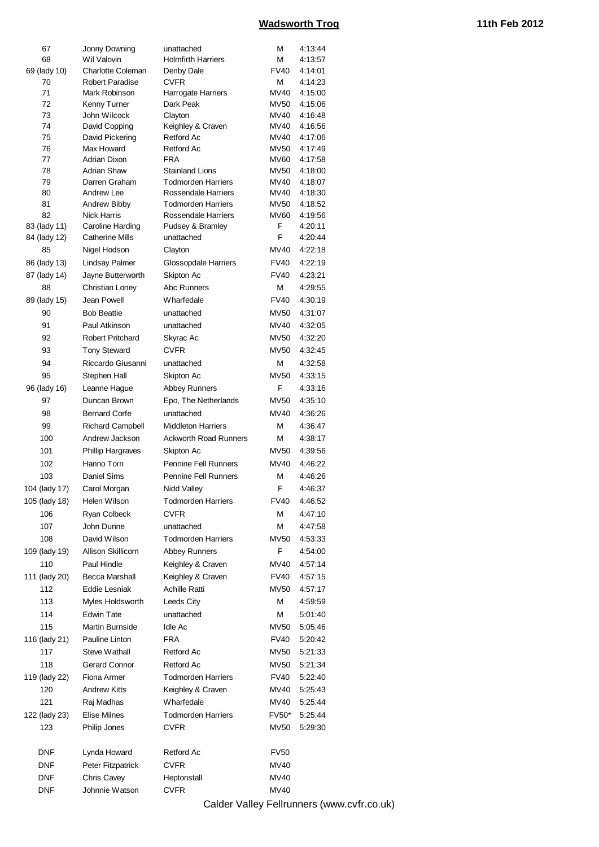| 67            | Jonny Downing              | unattached                           | М            | 4:13:44            |
|---------------|----------------------------|--------------------------------------|--------------|--------------------|
| 68            | Wil Valovin                | <b>Holmfirth Harriers</b>            | М            | 4:13:57            |
| 69 (lady 10)  | <b>Charlotte Coleman</b>   | Denby Dale                           | <b>FV40</b>  | 4:14:01            |
| 70            | Robert Paradise            | CVFR                                 | Μ            | 4:14:23            |
| 71            | Mark Robinson              | Harrogate Harriers                   | MV40         | 4:15:00            |
| 72            | Kenny Turner               | Dark Peak                            | MV50         | 4:15:06            |
| 73            | John Wilcock               | Clayton                              | MV40         | 4:16:48            |
| 74            | David Copping              | Keighley & Craven                    | MV40         | 4:16:56            |
| 75            | David Pickering            | Retford Ac                           | MV40         | 4:17:06            |
| 76            | Max Howard<br>Adrian Dixon | Retford Ac                           | MV50         | 4:17:49            |
| 77<br>78      | <b>Adrian Shaw</b>         | <b>FRA</b><br><b>Stainland Lions</b> | MV60<br>MV50 | 4:17:58<br>4:18:00 |
| 79            | Darren Graham              | <b>Todmorden Harriers</b>            | MV40         | 4:18:07            |
| 80            | <b>Andrew Lee</b>          | Rossendale Harriers                  | MV40         | 4:18:30            |
| 81            | Andrew Bibby               | <b>Todmorden Harriers</b>            | MV50         | 4:18:52            |
| 82            | <b>Nick Harris</b>         | Rossendale Harriers                  | MV60         | 4:19:56            |
| 83 (lady 11)  | Caroline Harding           | Pudsey & Bramley                     | F            | 4:20:11            |
| 84 (lady 12)  | <b>Catherine Mills</b>     | unattached                           | F            | 4:20:44            |
| 85            | Nigel Hodson               | Clayton                              | MV40         | 4:22:18            |
| 86 (lady 13)  | <b>Lindsay Palmer</b>      | Glossopdale Harriers                 | <b>FV40</b>  | 4:22:19            |
| 87 (lady 14)  | Jayne Butterworth          | Skipton Ac                           | <b>FV40</b>  | 4:23:21            |
| 88            | <b>Christian Loney</b>     | Abc Runners                          | м            | 4:29:55            |
|               | Jean Powell                | <b>Wharfedale</b>                    | <b>FV40</b>  |                    |
| 89 (lady 15)  |                            |                                      |              | 4:30:19            |
| 90            | <b>Bob Beattie</b>         | unattached                           | <b>MV50</b>  | 4:31:07            |
| 91            | Paul Atkinson              | unattached                           | MV40         | 4:32:05            |
| 92            | <b>Robert Pritchard</b>    | Skyrac Ac                            | MV50         | 4:32:20            |
| 93            | <b>Tony Steward</b>        | <b>CVFR</b>                          | MV50         | 4:32:45            |
| 94            | Riccardo Giusanni          | unattached                           | М            | 4:32:58            |
| 95            | Stephen Hall               | Skipton Ac                           | <b>MV50</b>  | 4:33:15            |
| 96 (lady 16)  | Leanne Hague               | <b>Abbey Runners</b>                 | F            | 4:33:16            |
| 97            | Duncan Brown               | Epo, The Netherlands                 | MV50         | 4:35:10            |
| 98            | <b>Bernard Corfe</b>       | unattached                           | MV40         | 4:36:26            |
| 99            | <b>Richard Campbell</b>    | <b>Middleton Harriers</b>            | М            | 4:36:47            |
| 100           | Andrew Jackson             | <b>Ackworth Road Runners</b>         | М            | 4:38:17            |
| 101           | <b>Phillip Hargraves</b>   | Skipton Ac                           | <b>MV50</b>  | 4:39:56            |
| 102           | Hanno Torn                 | Pennine Fell Runners                 | MV40         | 4:46:22            |
| 103           | <b>Daniel Sims</b>         | Pennine Fell Runners                 | М            | 4:46:26            |
| 104 (lady 17) | Carol Morgan               | Nidd Valley                          | F            | 4:46:37            |
| 105 (lady 18) | Helen Wilson               | <b>Todmorden Harriers</b>            | <b>FV40</b>  | 4:46:52            |
| 106           | Ryan Colbeck               | <b>CVFR</b>                          | Μ            | 4:47:10            |
| 107           | John Dunne                 |                                      | М            |                    |
|               |                            | unattached                           |              | 4:47:58            |
| 108           | David Wilson               | <b>Todmorden Harriers</b>            | <b>MV50</b>  | 4:53:33            |
| 109 (lady 19) | Allison Skillicorn         | <b>Abbey Runners</b>                 | F            | 4:54:00            |
| 110           | Paul Hindle                | Keighley & Craven                    | MV40         | 4:57:14            |
| 111 (lady 20) | Becca Marshall             | Keighley & Craven                    | <b>FV40</b>  | 4:57:15            |
| 112           | <b>Eddie Lesniak</b>       | <b>Achille Ratti</b>                 | MV50         | 4:57:17            |
| 113           | Myles Holdsworth           | Leeds City                           | М            | 4:59:59            |
| 114           | <b>Edwin Tate</b>          | unattached                           | М            | 5:01:40            |
| 115           | Martin Burnside            | Idle Ac                              | <b>MV50</b>  | 5:05:46            |
| 116 (lady 21) | Pauline Linton             | <b>FRA</b>                           | <b>FV40</b>  | 5:20:42            |
| 117           | Steve Wathall              | Retford Ac                           | MV50         | 5:21:33            |
| 118           | Gerard Connor              | Retford Ac                           | MV50         | 5:21:34            |
| 119 (lady 22) | Fiona Armer                | <b>Todmorden Harriers</b>            | <b>FV40</b>  | 5:22:40            |
| 120           | <b>Andrew Kitts</b>        | Keighley & Craven                    | MV40         | 5:25:43            |
| 121           | Raj Madhas                 | <b>Wharfedale</b>                    | MV40         | 5:25:44            |
| 122 (lady 23) | Elise Milnes               | <b>Todmorden Harriers</b>            | FV50*        | 5:25:44            |
| 123           | Philip Jones               | CVFR                                 | MV50         | 5:29:30            |
|               |                            |                                      |              |                    |
| <b>DNF</b>    |                            |                                      |              |                    |
|               | Lynda Howard               | Retford Ac                           | <b>FV50</b>  |                    |
| <b>DNF</b>    | Peter Fitzpatrick          | CVFR                                 | <b>MV40</b>  |                    |
| <b>DNF</b>    | Chris Cavey                | Heptonstall                          | <b>MV40</b>  |                    |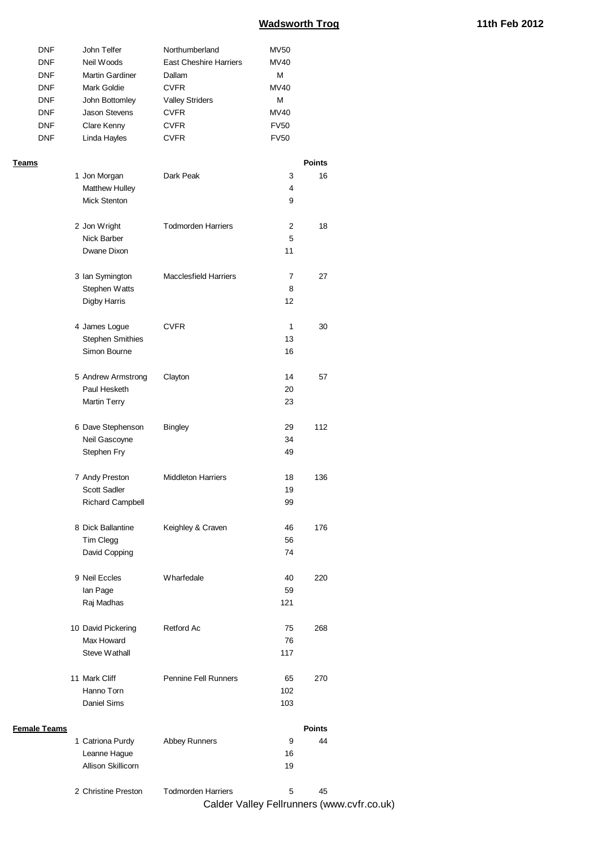| <b>DNF</b> | John Telfer            | Northumberland         | <b>MV50</b> |
|------------|------------------------|------------------------|-------------|
| <b>DNF</b> | Neil Woods             | East Cheshire Harriers | MV40        |
| <b>DNF</b> | <b>Martin Gardiner</b> | Dallam                 | м           |
| <b>DNF</b> | Mark Goldie            | <b>CVFR</b>            | MV40        |
| <b>DNF</b> | John Bottomley         | <b>Valley Striders</b> | м           |
| <b>DNF</b> | Jason Stevens          | <b>CVFR</b>            | MV40        |
| <b>DNF</b> | Clare Kenny            | <b>CVFR</b>            | <b>FV50</b> |
| <b>DNF</b> | Linda Hayles           | <b>CVFR</b>            | <b>FV50</b> |

#### **Teams Points**

|                     | 1 Jon Morgan            | Dark Peak                    | 3   | 16            |                                            |
|---------------------|-------------------------|------------------------------|-----|---------------|--------------------------------------------|
|                     | Matthew Hulley          |                              | 4   |               |                                            |
|                     | <b>Mick Stenton</b>     |                              | 9   |               |                                            |
|                     |                         |                              |     |               |                                            |
|                     | 2 Jon Wright            | <b>Todmorden Harriers</b>    | 2   | 18            |                                            |
|                     | Nick Barber             |                              | 5   |               |                                            |
|                     | Dwane Dixon             |                              | 11  |               |                                            |
|                     | 3 Ian Symington         | <b>Macclesfield Harriers</b> | 7   | 27            |                                            |
|                     | Stephen Watts           |                              | 8   |               |                                            |
|                     | <b>Digby Harris</b>     |                              | 12  |               |                                            |
|                     |                         |                              |     |               |                                            |
|                     | 4 James Logue           | <b>CVFR</b>                  | 1   | 30            |                                            |
|                     | <b>Stephen Smithies</b> |                              | 13  |               |                                            |
|                     | Simon Bourne            |                              | 16  |               |                                            |
|                     |                         |                              |     |               |                                            |
|                     | 5 Andrew Armstrong      | Clayton                      | 14  | 57            |                                            |
|                     | Paul Hesketh            |                              | 20  |               |                                            |
|                     | <b>Martin Terry</b>     |                              | 23  |               |                                            |
|                     |                         |                              | 29  | 112           |                                            |
|                     | 6 Dave Stephenson       | <b>Bingley</b>               |     |               |                                            |
|                     | Neil Gascoyne           |                              | 34  |               |                                            |
|                     | Stephen Fry             |                              | 49  |               |                                            |
|                     | 7 Andy Preston          | <b>Middleton Harriers</b>    | 18  | 136           |                                            |
|                     | Scott Sadler            |                              | 19  |               |                                            |
|                     | Richard Campbell        |                              | 99  |               |                                            |
|                     |                         |                              |     |               |                                            |
|                     | 8 Dick Ballantine       | Keighley & Craven            | 46  | 176           |                                            |
|                     | Tim Clegg               |                              | 56  |               |                                            |
|                     | David Copping           |                              | 74  |               |                                            |
|                     |                         |                              |     |               |                                            |
|                     | 9 Neil Eccles           | Wharfedale                   | 40  | 220           |                                            |
|                     | lan Page                |                              | 59  |               |                                            |
|                     | Raj Madhas              |                              | 121 |               |                                            |
|                     | 10 David Pickering      | Retford Ac                   | 75  | 268           |                                            |
|                     | Max Howard              |                              | 76  |               |                                            |
|                     | Steve Wathall           |                              | 117 |               |                                            |
|                     |                         |                              |     |               |                                            |
|                     | 11 Mark Cliff           | Pennine Fell Runners         | 65  | 270           |                                            |
|                     | Hanno Torn              |                              | 102 |               |                                            |
|                     | Daniel Sims             |                              | 103 |               |                                            |
|                     |                         |                              |     |               |                                            |
| <b>Female Teams</b> |                         |                              |     | <b>Points</b> |                                            |
|                     | 1 Catriona Purdy        | <b>Abbey Runners</b>         | 9   | 44            |                                            |
|                     | Leanne Hague            |                              | 16  |               |                                            |
|                     | Allison Skillicorn      |                              | 19  |               |                                            |
|                     | 2 Christine Preston     | <b>Todmorden Harriers</b>    | 5   | 45            |                                            |
|                     |                         |                              |     |               | Calder Valley Fellrunners (www.cvfr.co.uk) |
|                     |                         |                              |     |               |                                            |